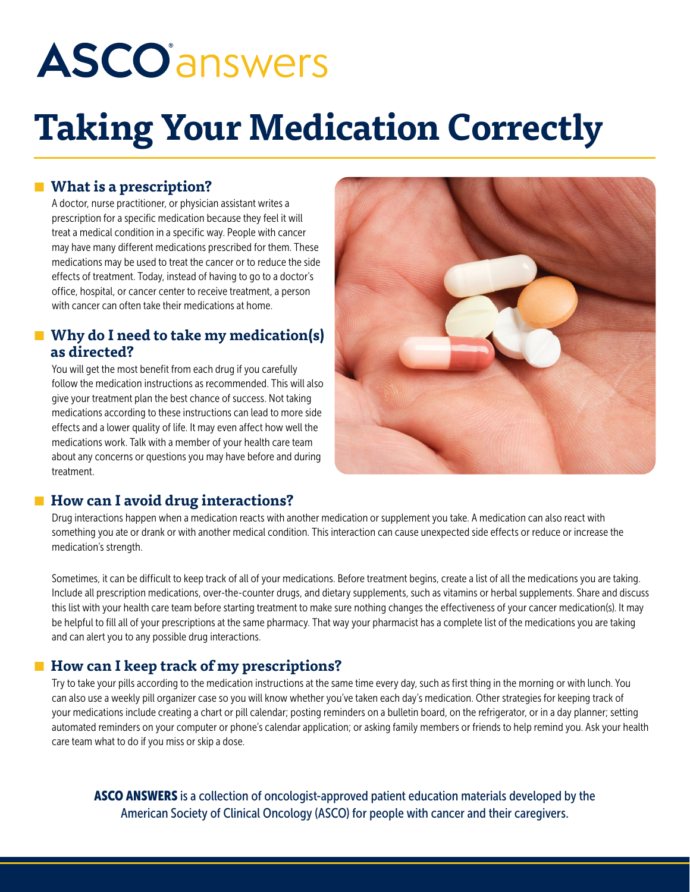# **ASCO**<sup>answers</sup>

## **Taking Your Medication Correctly**

#### **What is a prescription?**

A doctor, nurse practitioner, or physician assistant writes a prescription for a specific medication because they feel it will treat a medical condition in a specific way. People with cancer may have many different medications prescribed for them. These medications may be used to treat the cancer or to reduce the side effects of treatment. Today, instead of having to go to a doctor's office, hospital, or cancer center to receive treatment, a person with cancer can often take their medications at home.

#### **Why do I need to take my medication(s) as directed?**

You will get the most benefit from each drug if you carefully follow the medication instructions as recommended. This will also give your treatment plan the best chance of success. Not taking medications according to these instructions can lead to more side effects and a lower quality of life. It may even affect how well the medications work. Talk with a member of your health care team about any concerns or questions you may have before and during treatment.



#### **■ How can I avoid drug interactions?**

Drug interactions happen when a medication reacts with another medication or supplement you take. A medication can also react with something you ate or drank or with another medical condition. This interaction can cause unexpected side effects or reduce or increase the medication's strength.

Sometimes, it can be difficult to keep track of all of your medications. Before treatment begins, create a list of all the medications you are taking. Include all prescription medications, over-the-counter drugs, and dietary supplements, such as vitamins or herbal supplements. Share and discuss this list with your health care team before starting treatment to make sure nothing changes the effectiveness of your cancer medication(s). It may be helpful to fill all of your prescriptions at the same pharmacy. That way your pharmacist has a complete list of the medications you are taking and can alert you to any possible drug interactions.

#### **How can I keep track of my prescriptions?**

Try to take your pills according to the medication instructions at the same time every day, such as first thing in the morning or with lunch. You can also use a weekly pill organizer case so you will know whether you've taken each day's medication. Other strategies for keeping track of your medications include creating a chart or pill calendar; posting reminders on a bulletin board, on the refrigerator, or in a day planner; setting automated reminders on your computer or phone's calendar application; or asking family members or friends to help remind you. Ask your health care team what to do if you miss or skip a dose.

ASCO ANSWERS is a collection of oncologist-approved patient education materials developed by the American Society of Clinical Oncology (ASCO) for people with cancer and their caregivers.